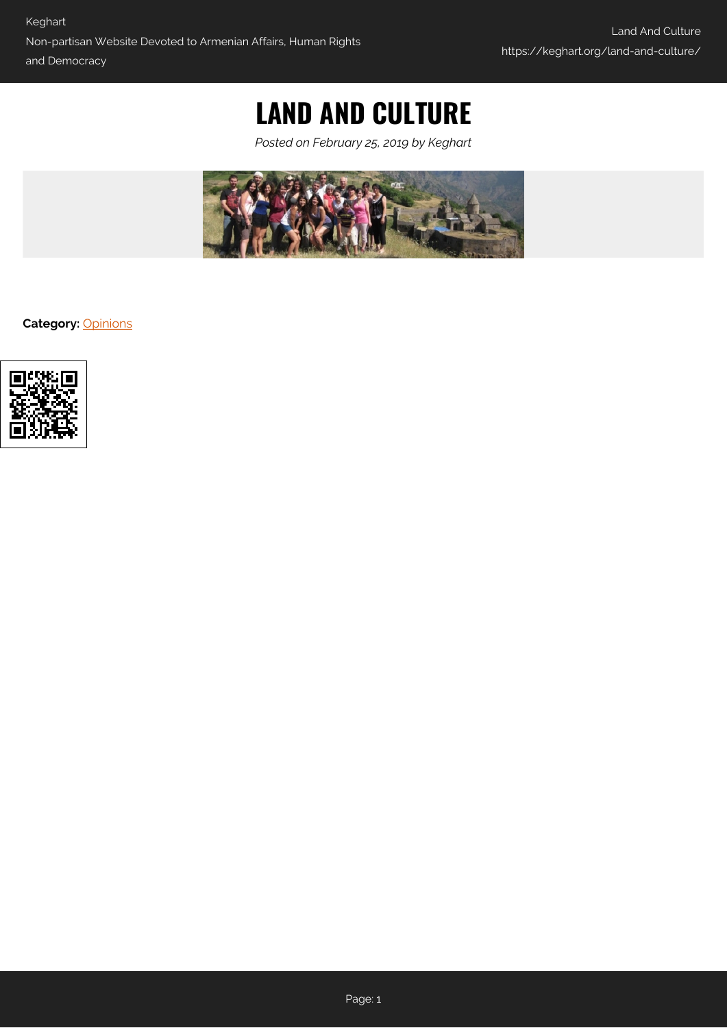# **LAND AND CULTURE**

*Posted on February 25, 2019 by Keghart*



**Category:** [Opinions](https://keghart.org/category/opinions/)

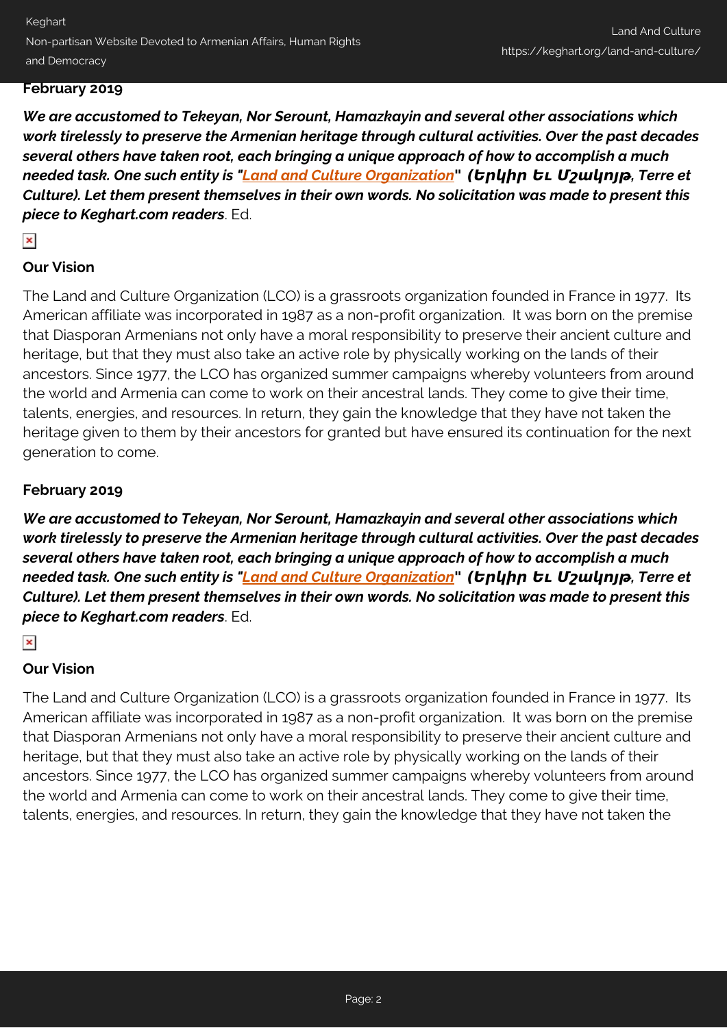Keghart Non-partisan Website Devoted to Armenian Affairs, Human Rights and Democracy

## **February 2019**

*We are accustomed to Tekeyan, Nor Serount, Hamazkayin and several other associations which work tirelessly to preserve the Armenian heritage through cultural activities. Over the past decades several others have taken root, each bringing a unique approach of how to accomplish a much needed task. One such entity is "[Land and Culture Organization](http://lcousa.org/about-lco/our-vision)" (Երկիր Եւ Մշակոյթ, Terre et Culture). Let them present themselves in their own words. No solicitation was made to present this piece to Keghart.com readers*. Ed.

# $\pmb{\times}$

## **Our Vision**

The Land and Culture Organization (LCO) is a grassroots organization founded in France in 1977. Its American affiliate was incorporated in 1987 as a non-profit organization. It was born on the premise that Diasporan Armenians not only have a moral responsibility to preserve their ancient culture and heritage, but that they must also take an active role by physically working on the lands of their ancestors. Since 1977, the LCO has organized summer campaigns whereby volunteers from around the world and Armenia can come to work on their ancestral lands. They come to give their time, talents, energies, and resources. In return, they gain the knowledge that they have not taken the heritage given to them by their ancestors for granted but have ensured its continuation for the next generation to come.

## **February 2019**

*We are accustomed to Tekeyan, Nor Serount, Hamazkayin and several other associations which work tirelessly to preserve the Armenian heritage through cultural activities. Over the past decades several others have taken root, each bringing a unique approach of how to accomplish a much needed task. One such entity is "[Land and Culture Organization](http://lcousa.org/about-lco/our-vision)" (Երկիր Եւ Մշակոյթ, Terre et Culture). Let them present themselves in their own words. No solicitation was made to present this piece to Keghart.com readers*. Ed.

#### $\pmb{\times}$

# **Our Vision**

The Land and Culture Organization (LCO) is a grassroots organization founded in France in 1977. Its American affiliate was incorporated in 1987 as a non-profit organization. It was born on the premise that Diasporan Armenians not only have a moral responsibility to preserve their ancient culture and heritage, but that they must also take an active role by physically working on the lands of their ancestors. Since 1977, the LCO has organized summer campaigns whereby volunteers from around the world and Armenia can come to work on their ancestral lands. They come to give their time, talents, energies, and resources. In return, they gain the knowledge that they have not taken the